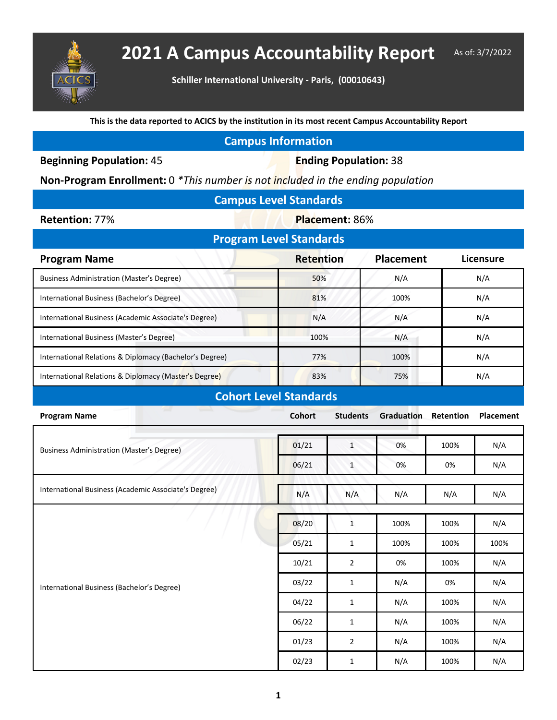

## **2021 A Campus Accountability Report** As of: 3/7/2022

**Schiller International University - Paris, (00010643)**

**This is the data reported to ACICS by the institution in its most recent Campus Accountability Report**

| <b>Campus Information</b> |  |  |
|---------------------------|--|--|
|                           |  |  |

**Beginning Population: 45 <b>Ending Population: 38** 

**Non-Program Enrollment:** 0 *\*This number is not included in the ending population*

| <b>Campus Level Standards</b> |  |
|-------------------------------|--|
|                               |  |

**Retention: 77%**  Placement: 86%

| <b>Program Level Standards</b>                          |                  |                  |                  |  |  |  |
|---------------------------------------------------------|------------------|------------------|------------------|--|--|--|
| <b>Program Name</b>                                     | <b>Retention</b> | <b>Placement</b> | <b>Licensure</b> |  |  |  |
| Business Administration (Master's Degree)               | 50%              | N/A              | N/A              |  |  |  |
| International Business (Bachelor's Degree)              | 81%              | 100%             | N/A              |  |  |  |
| International Business (Academic Associate's Degree)    | N/A              | N/A              | N/A              |  |  |  |
| International Business (Master's Degree)                | 100%             | N/A              | N/A              |  |  |  |
| International Relations & Diplomacy (Bachelor's Degree) | 77%              | 100%             | N/A              |  |  |  |
| International Relations & Diplomacy (Master's Degree)   | 83%              | 75%              | N/A              |  |  |  |

## **Cohort Level Standards**

| <b>Program Name</b>                                  | <b>Cohort</b> | <b>Students</b> | Graduation | Retention | <b>Placement</b> |
|------------------------------------------------------|---------------|-----------------|------------|-----------|------------------|
|                                                      |               |                 |            |           |                  |
| <b>Business Administration (Master's Degree)</b>     | 01/21         | $\mathbf{1}$    | 0%         | 100%      | N/A              |
|                                                      | 06/21         | $\mathbf{1}$    | 0%         | 0%        | N/A              |
|                                                      |               |                 |            |           |                  |
| International Business (Academic Associate's Degree) | N/A           | N/A             | N/A        | N/A       | N/A              |
|                                                      |               |                 |            |           |                  |
|                                                      | 08/20         | $\mathbf{1}$    | 100%       | 100%      | N/A              |
|                                                      | 05/21         | $\mathbf{1}$    | 100%       | 100%      | 100%             |
|                                                      | 10/21         | $\overline{2}$  | 0%         | 100%      | N/A              |
| International Business (Bachelor's Degree)           | 03/22         | $\mathbf{1}$    | N/A        | 0%        | N/A              |
|                                                      | 04/22         | $\mathbf{1}$    | N/A        | 100%      | N/A              |
|                                                      | 06/22         | 1               | N/A        | 100%      | N/A              |
|                                                      | 01/23         | $\overline{2}$  | N/A        | 100%      | N/A              |
|                                                      | 02/23         | $\mathbf{1}$    | N/A        | 100%      | N/A              |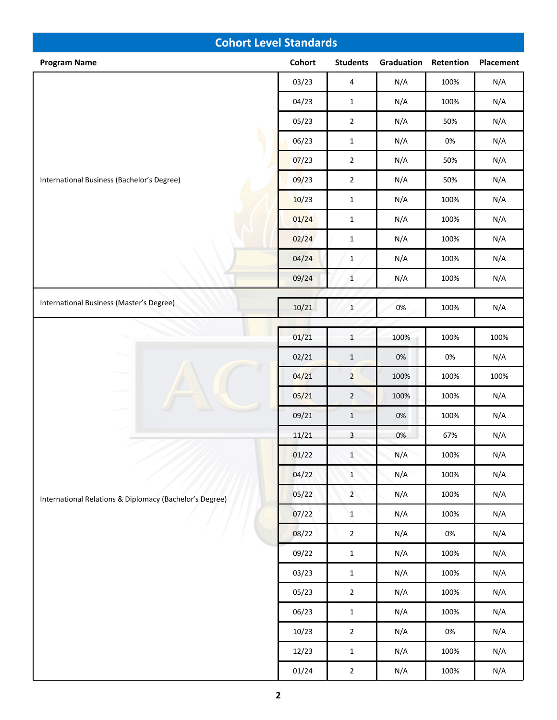| <b>Cohort Level Standards</b>                           |        |                 |            |           |           |  |
|---------------------------------------------------------|--------|-----------------|------------|-----------|-----------|--|
| <b>Program Name</b>                                     | Cohort | <b>Students</b> | Graduation | Retention | Placement |  |
|                                                         | 03/23  | $\overline{4}$  | N/A        | 100%      | N/A       |  |
|                                                         | 04/23  | $\mathbf{1}$    | N/A        | 100%      | N/A       |  |
|                                                         | 05/23  | $\overline{2}$  | N/A        | 50%       | N/A       |  |
|                                                         | 06/23  | $\mathbf 1$     | N/A        | $0\%$     | N/A       |  |
| International Business (Bachelor's Degree)              | 07/23  | $\mathbf 2$     | N/A        | 50%       | N/A       |  |
|                                                         | 09/23  | $\mathbf 2$     | N/A        | 50%       | N/A       |  |
|                                                         | 10/23  | $\mathbf{1}$    | N/A        | 100%      | N/A       |  |
|                                                         | 01/24  | $\mathbf 1$     | N/A        | 100%      | N/A       |  |
|                                                         | 02/24  | $\mathbf 1$     | N/A        | 100%      | N/A       |  |
|                                                         | 04/24  | $\mathbf 1$     | N/A        | 100%      | N/A       |  |
|                                                         | 09/24  | $\mathbf{1}$    | N/A        | 100%      | N/A       |  |
| International Business (Master's Degree)                |        |                 |            |           |           |  |
|                                                         | 10/21  | $\mathbf 1$     | 0%         | 100%      | N/A       |  |
|                                                         | 01/21  | $\,1\,$         | 100%       | 100%      | 100%      |  |
|                                                         | 02/21  | $\,1\,$         | $0\%$      | $0\%$     | N/A       |  |
|                                                         | 04/21  | $\overline{2}$  | 100%       | 100%      | 100%      |  |
|                                                         | 05/21  | $\overline{2}$  | 100%       | 100%      | N/A       |  |
|                                                         | 09/21  | $\mathbf 1$     | $0\%$      | 100%      | N/A       |  |
|                                                         | 11/21  | $\mathbf{3}$    | 0%         | 67%       | N/A       |  |
|                                                         | 01/22  | $1\,$           | N/A        | 100%      | N/A       |  |
|                                                         | 04/22  | $\mathbf{1}$    | N/A        | 100%      | N/A       |  |
| International Relations & Diplomacy (Bachelor's Degree) | 05/22  | $\overline{2}$  | N/A        | 100%      | N/A       |  |
|                                                         | 07/22  | $\mathbf{1}$    | N/A        | 100%      | N/A       |  |
|                                                         | 08/22  | $\overline{2}$  | N/A        | $0\%$     | N/A       |  |
|                                                         | 09/22  | $\mathbf{1}$    | N/A        | 100%      | N/A       |  |
|                                                         | 03/23  | $\mathbf{1}$    | N/A        | 100%      | N/A       |  |
|                                                         | 05/23  | $\overline{2}$  | N/A        | 100%      | N/A       |  |
|                                                         | 06/23  | $\mathbf{1}$    | N/A        | 100%      | N/A       |  |
|                                                         | 10/23  | $\overline{2}$  | N/A        | $0\%$     | N/A       |  |
|                                                         | 12/23  | $\mathbf{1}$    | N/A        | 100%      | N/A       |  |
|                                                         | 01/24  | $\mathbf{2}$    | N/A        | 100%      | N/A       |  |